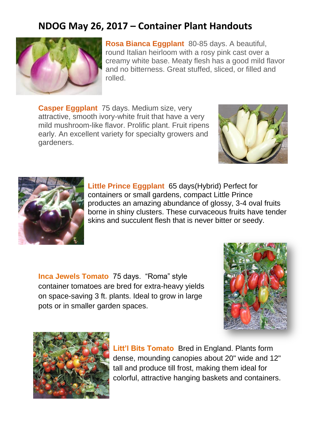## **NDOG May 26, 2017 – Container Plant Handouts**



**Rosa Bianca Eggplant** 80-85 days. A beautiful, round Italian heirloom with a rosy pink cast over a creamy white base. Meaty flesh has a good mild flavor and no bitterness. Great stuffed, sliced, or filled and rolled.

**Casper Eggplant** 75 days. Medium size, very attractive, smooth ivory-white fruit that have a very mild mushroom-like flavor. Prolific plant. Fruit ripens early. An excellent variety for specialty growers and gardeners.





**Little Prince Eggplant** 65 days(Hybrid) Perfect for containers or small gardens, compact Little Prince productes an amazing abundance of glossy, 3-4 oval fruits borne in shiny clusters. These curvaceous fruits have tender skins and succulent flesh that is never bitter or seedy.

**Inca Jewels Tomato** 75 days. "Roma" style container tomatoes are bred for extra-heavy yields on space-saving 3 ft. plants. Ideal to grow in large pots or in smaller garden spaces.





**Litt'l Bits Tomato** Bred in England. Plants form dense, mounding canopies about 20" wide and 12" tall and produce till frost, making them ideal for colorful, attractive hanging baskets and containers.